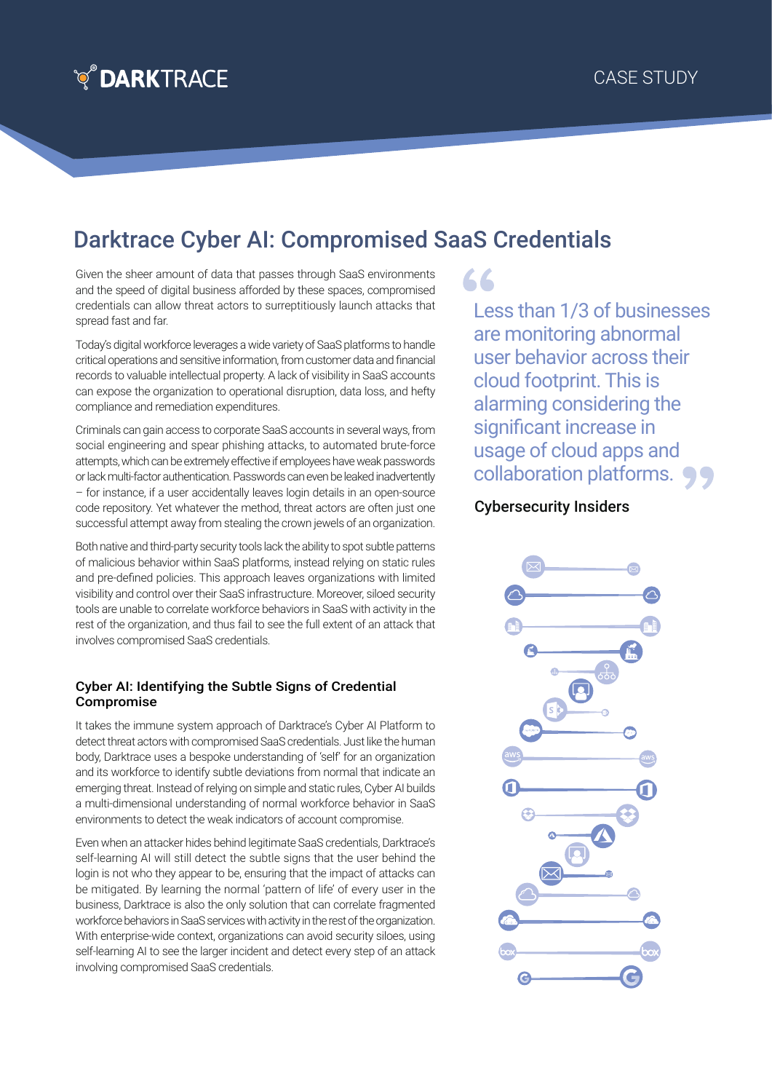

## Darktrace Cyber AI: Compromised SaaS Credentials

Given the sheer amount of data that passes through SaaS environments and the speed of digital business afforded by these spaces, compromised credentials can allow threat actors to surreptitiously launch attacks that spread fast and far.

Today's digital workforce leverages a wide variety of SaaS platforms to handle critical operations and sensitive information, from customer data and financial records to valuable intellectual property. A lack of visibility in SaaS accounts can expose the organization to operational disruption, data loss, and hefty compliance and remediation expenditures.

Criminals can gain access to corporate SaaS accounts in several ways, from social engineering and spear phishing attacks, to automated brute-force attempts, which can be extremely effective if employees have weak passwords or lack multi-factor authentication. Passwords can even be leaked inadvertently – for instance, if a user accidentally leaves login details in an open-source code repository. Yet whatever the method, threat actors are often just one successful attempt away from stealing the crown jewels of an organization.

Both native and third-party security tools lack the ability to spot subtle patterns of malicious behavior within SaaS platforms, instead relying on static rules and pre-defined policies. This approach leaves organizations with limited visibility and control over their SaaS infrastructure. Moreover, siloed security tools are unable to correlate workforce behaviors in SaaS with activity in the rest of the organization, and thus fail to see the full extent of an attack that involves compromised SaaS credentials.

## Cyber AI: Identifying the Subtle Signs of Credential Compromise

It takes the immune system approach of Darktrace's Cyber AI Platform to detect threat actors with compromised SaaS credentials. Just like the human body, Darktrace uses a bespoke understanding of 'self' for an organization and its workforce to identify subtle deviations from normal that indicate an emerging threat. Instead of relying on simple and static rules, Cyber AI builds a multi-dimensional understanding of normal workforce behavior in SaaS environments to detect the weak indicators of account compromise.

Even when an attacker hides behind legitimate SaaS credentials, Darktrace's self-learning AI will still detect the subtle signs that the user behind the login is not who they appear to be, ensuring that the impact of attacks can be mitigated. By learning the normal 'pattern of life' of every user in the business, Darktrace is also the only solution that can correlate fragmented workforce behaviors in SaaS services with activity in the rest of the organization. With enterprise-wide context, organizations can avoid security siloes, using self-learning AI to see the larger incident and detect every step of an attack involving compromised SaaS credentials.

LL

Less than 1/3 of businesses are monitoring abnormal user behavior across their cloud footprint. This is alarming considering the significant increase in usage of cloud apps and collaboration platforms.

## Cybersecurity Insiders